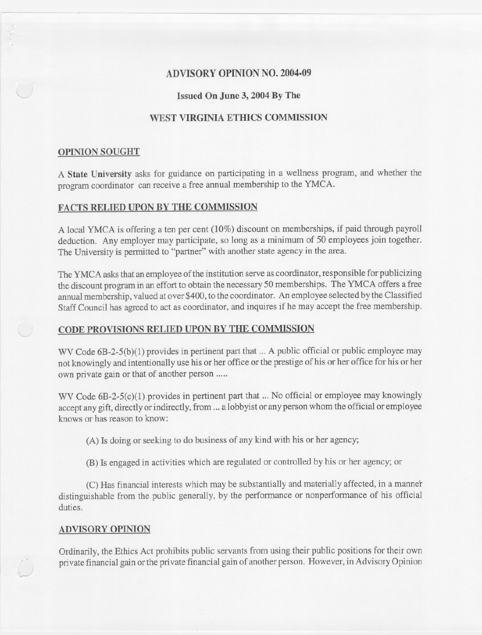# ADVISORY OPINION NO. 2004.09

## Issued On June 3, 2004 By The

## WEST VIRGINIA ETHICS COMMISSION

#### OPINION SOUGHT

A State University asks for guidance on participating in a wellness program, and whether the program coordinator can receive a free annual membership to the YMCA.

### FACTS RELIED UPON BY THE COMMISSION

A local YMCA is offering a ten per cent (10%) discount on memberships, if paid through payroll deduction. Any employer may participate, so long as a minimum of 50 employees join together. The University is permitted to "partner" with another state agency in the area.

The YMCA asks that an employee of the institution serve as coordinator, responsible for publicizing the discount program in an effort to obtain the necessary 50 memberships. The YMCA offers a free annual membership, valued at over \$400, to the coordinator. An employee selected by the Classified Staff Council has agreed to act as coordinator, and inquires if he may accept the free membership.

### CODE PROVISIONS RELIED UPON BY THE COMMISSION

WV Code  $6B-2-5(b)(1)$  provides in pertinent part that ... A public official or public employee may not knowinglyandintentionallyuse his or her office or the prestige of his or her office for his or her own private gain or that of another person .....

WV Code  $6B-2-5(c)(1)$  provides in pertinent part that ... No official or employee may knowingly accept any gift, directly or indirectly, from ... a lobbyist or any person whom the official or employee knows or has reason to know:

(A) Is doing or seeking to do business of any kind with his or her agency;

(B) Is engagedin activities which are regulated or controlled by his or her agency; or

(C) Has financial interests which may be substantially and materially affected, in a manner distinguishable from the public generally, by the performance or nonperformance of his official duties.

#### ADVISORY OPINION

Ordinarily, the Ethics Act prohibits public servants from using their public positions for their own private financial gain or the private financial gain of another person. However, in Advisory Opinion